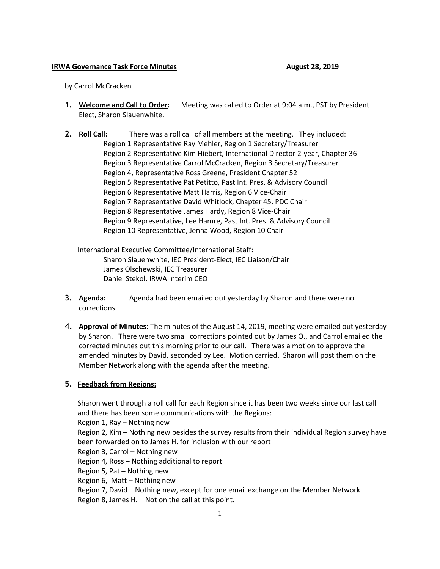## **IRWA Governance Task Force Minutes August 28, 2019**

by Carrol McCracken

- **1. Welcome and Call to Order:** Meeting was called to Order at 9:04 a.m., PST by President Elect, Sharon Slauenwhite.
- **2. Roll Call:** There was a roll call of all members at the meeting. They included: Region 1 Representative Ray Mehler, Region 1 Secretary/Treasurer Region 2 Representative Kim Hiebert, International Director 2-year, Chapter 36 Region 3 Representative Carrol McCracken, Region 3 Secretary/Treasurer Region 4, Representative Ross Greene, President Chapter 52 Region 5 Representative Pat Petitto, Past Int. Pres. & Advisory Council Region 6 Representative Matt Harris, Region 6 Vice-Chair Region 7 Representative David Whitlock, Chapter 45, PDC Chair Region 8 Representative James Hardy, Region 8 Vice-Chair Region 9 Representative, Lee Hamre, Past Int. Pres. & Advisory Council Region 10 Representative, Jenna Wood, Region 10 Chair

International Executive Committee/International Staff: Sharon Slauenwhite, IEC President-Elect, IEC Liaison/Chair James Olschewski, IEC Treasurer Daniel Stekol, IRWA Interim CEO

- **3. Agenda:** Agenda had been emailed out yesterday by Sharon and there were no corrections.
- **4. Approval of Minutes**: The minutes of the August 14, 2019, meeting were emailed out yesterday by Sharon. There were two small corrections pointed out by James O., and Carrol emailed the corrected minutes out this morning prior to our call. There was a motion to approve the amended minutes by David, seconded by Lee. Motion carried. Sharon will post them on the Member Network along with the agenda after the meeting.

## **5. Feedback from Regions:**

Sharon went through a roll call for each Region since it has been two weeks since our last call and there has been some communications with the Regions:

Region 1, Ray – Nothing new

Region 2, Kim – Nothing new besides the survey results from their individual Region survey have been forwarded on to James H. for inclusion with our report

- Region 3, Carrol Nothing new
- Region 4, Ross Nothing additional to report

Region 5, Pat – Nothing new

Region 6, Matt – Nothing new

Region 7, David – Nothing new, except for one email exchange on the Member Network

Region 8, James H. – Not on the call at this point.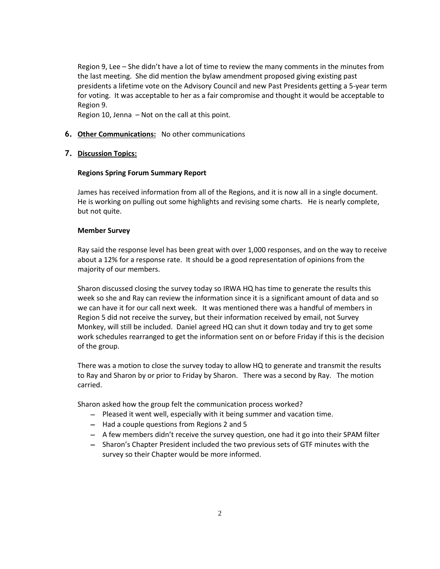Region 9, Lee – She didn't have a lot of time to review the many comments in the minutes from the last meeting. She did mention the bylaw amendment proposed giving existing past presidents a lifetime vote on the Advisory Council and new Past Presidents getting a 5-year term for voting. It was acceptable to her as a fair compromise and thought it would be acceptable to Region 9.

Region 10, Jenna – Not on the call at this point.

# **6. Other Communications:** No other communications

## **7. Discussion Topics:**

## **Regions Spring Forum Summary Report**

James has received information from all of the Regions, and it is now all in a single document. He is working on pulling out some highlights and revising some charts. He is nearly complete, but not quite.

## **Member Survey**

Ray said the response level has been great with over 1,000 responses, and on the way to receive about a 12% for a response rate. It should be a good representation of opinions from the majority of our members.

Sharon discussed closing the survey today so IRWA HQ has time to generate the results this week so she and Ray can review the information since it is a significant amount of data and so we can have it for our call next week. It was mentioned there was a handful of members in Region 5 did not receive the survey, but their information received by email, not Survey Monkey, will still be included. Daniel agreed HQ can shut it down today and try to get some work schedules rearranged to get the information sent on or before Friday if this is the decision of the group.

There was a motion to close the survey today to allow HQ to generate and transmit the results to Ray and Sharon by or prior to Friday by Sharon. There was a second by Ray. The motion carried.

Sharon asked how the group felt the communication process worked?

- − Pleased it went well, especially with it being summer and vacation time.
- − Had a couple questions from Regions 2 and 5
- − A few members didn't receive the survey question, one had it go into their SPAM filter
- − Sharon's Chapter President included the two previous sets of GTF minutes with the survey so their Chapter would be more informed.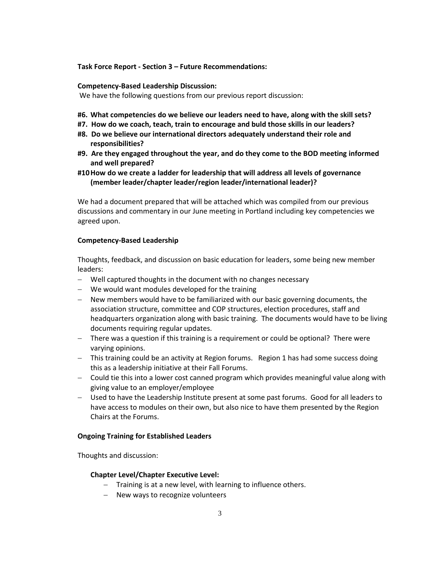### **Task Force Report - Section 3 – Future Recommendations:**

#### **Competency-Based Leadership Discussion:**

We have the following questions from our previous report discussion:

- **#6. What competencies do we believe our leaders need to have, along with the skill sets?**
- **#7. How do we coach, teach, train to encourage and buld those skills in our leaders?**
- **#8. Do we believe our international directors adequately understand their role and responsibilities?**
- **#9. Are they engaged throughout the year, and do they come to the BOD meeting informed and well prepared?**
- **#10How do we create a ladder for leadership that will address all levels of governance (member leader/chapter leader/region leader/international leader)?**

We had a document prepared that will be attached which was compiled from our previous discussions and commentary in our June meeting in Portland including key competencies we agreed upon.

### **Competency-Based Leadership**

Thoughts, feedback, and discussion on basic education for leaders, some being new member leaders:

- − Well captured thoughts in the document with no changes necessary
- − We would want modules developed for the training
- − New members would have to be familiarized with our basic governing documents, the association structure, committee and COP structures, election procedures, staff and headquarters organization along with basic training. The documents would have to be living documents requiring regular updates.
- − There was a question if this training is a requirement or could be optional? There were varying opinions.
- − This training could be an activity at Region forums. Region 1 has had some success doing this as a leadership initiative at their Fall Forums.
- − Could tie this into a lower cost canned program which provides meaningful value along with giving value to an employer/employee
- − Used to have the Leadership Institute present at some past forums. Good for all leaders to have access to modules on their own, but also nice to have them presented by the Region Chairs at the Forums.

#### **Ongoing Training for Established Leaders**

Thoughts and discussion:

### **Chapter Level/Chapter Executive Level:**

- − Training is at a new level, with learning to influence others.
- − New ways to recognize volunteers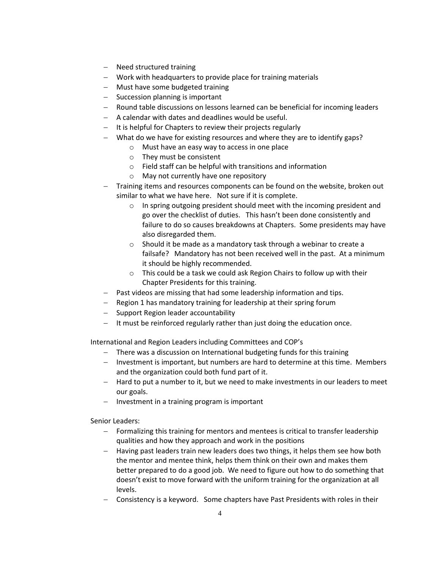- − Need structured training
- − Work with headquarters to provide place for training materials
- − Must have some budgeted training
- − Succession planning is important
- − Round table discussions on lessons learned can be beneficial for incoming leaders
- − A calendar with dates and deadlines would be useful.
- − It is helpful for Chapters to review their projects regularly
- − What do we have for existing resources and where they are to identify gaps?
	- o Must have an easy way to access in one place
	- o They must be consistent
	- o Field staff can be helpful with transitions and information
	- o May not currently have one repository
- − Training items and resources components can be found on the website, broken out similar to what we have here. Not sure if it is complete.
	- o In spring outgoing president should meet with the incoming president and go over the checklist of duties. This hasn't been done consistently and failure to do so causes breakdowns at Chapters. Some presidents may have also disregarded them.
	- o Should it be made as a mandatory task through a webinar to create a failsafe? Mandatory has not been received well in the past. At a minimum it should be highly recommended.
	- o This could be a task we could ask Region Chairs to follow up with their Chapter Presidents for this training.
- − Past videos are missing that had some leadership information and tips.
- − Region 1 has mandatory training for leadership at their spring forum
- − Support Region leader accountability
- − It must be reinforced regularly rather than just doing the education once.

International and Region Leaders including Committees and COP's

- − There was a discussion on International budgeting funds for this training
- − Investment is important, but numbers are hard to determine at this time. Members and the organization could both fund part of it.
- − Hard to put a number to it, but we need to make investments in our leaders to meet our goals.
- − Investment in a training program is important

Senior Leaders:

- − Formalizing this training for mentors and mentees is critical to transfer leadership qualities and how they approach and work in the positions
- − Having past leaders train new leaders does two things, it helps them see how both the mentor and mentee think, helps them think on their own and makes them better prepared to do a good job. We need to figure out how to do something that doesn't exist to move forward with the uniform training for the organization at all levels.
- − Consistency is a keyword. Some chapters have Past Presidents with roles in their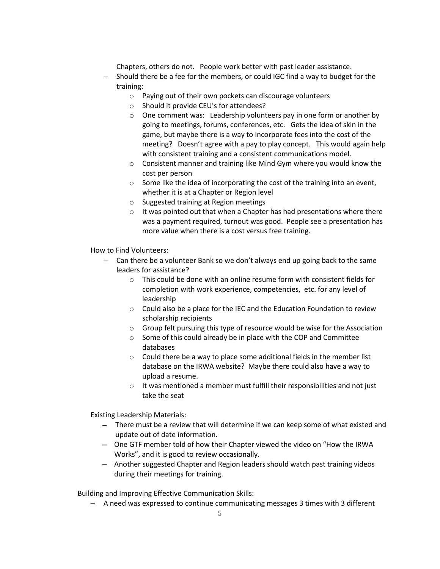Chapters, others do not. People work better with past leader assistance.

- Should there be a fee for the members, or could IGC find a way to budget for the training:
	- o Paying out of their own pockets can discourage volunteers
	- o Should it provide CEU's for attendees?
	- $\circ$  One comment was: Leadership volunteers pay in one form or another by going to meetings, forums, conferences, etc. Gets the idea of skin in the game, but maybe there is a way to incorporate fees into the cost of the meeting? Doesn't agree with a pay to play concept. This would again help with consistent training and a consistent communications model.
	- $\circ$  Consistent manner and training like Mind Gym where you would know the cost per person
	- o Some like the idea of incorporating the cost of the training into an event, whether it is at a Chapter or Region level
	- o Suggested training at Region meetings
	- $\circ$  It was pointed out that when a Chapter has had presentations where there was a payment required, turnout was good. People see a presentation has more value when there is a cost versus free training.

How to Find Volunteers:

- − Can there be a volunteer Bank so we don't always end up going back to the same leaders for assistance?
	- $\circ$  This could be done with an online resume form with consistent fields for completion with work experience, competencies, etc. for any level of leadership
	- o Could also be a place for the IEC and the Education Foundation to review scholarship recipients
	- $\circ$  Group felt pursuing this type of resource would be wise for the Association
	- o Some of this could already be in place with the COP and Committee databases
	- o Could there be a way to place some additional fields in the member list database on the IRWA website? Maybe there could also have a way to upload a resume.
	- o It was mentioned a member must fulfill their responsibilities and not just take the seat

Existing Leadership Materials:

- − There must be a review that will determine if we can keep some of what existed and update out of date information.
- − One GTF member told of how their Chapter viewed the video on "How the IRWA Works", and it is good to review occasionally.
- − Another suggested Chapter and Region leaders should watch past training videos during their meetings for training.

Building and Improving Effective Communication Skills:

− A need was expressed to continue communicating messages 3 times with 3 different